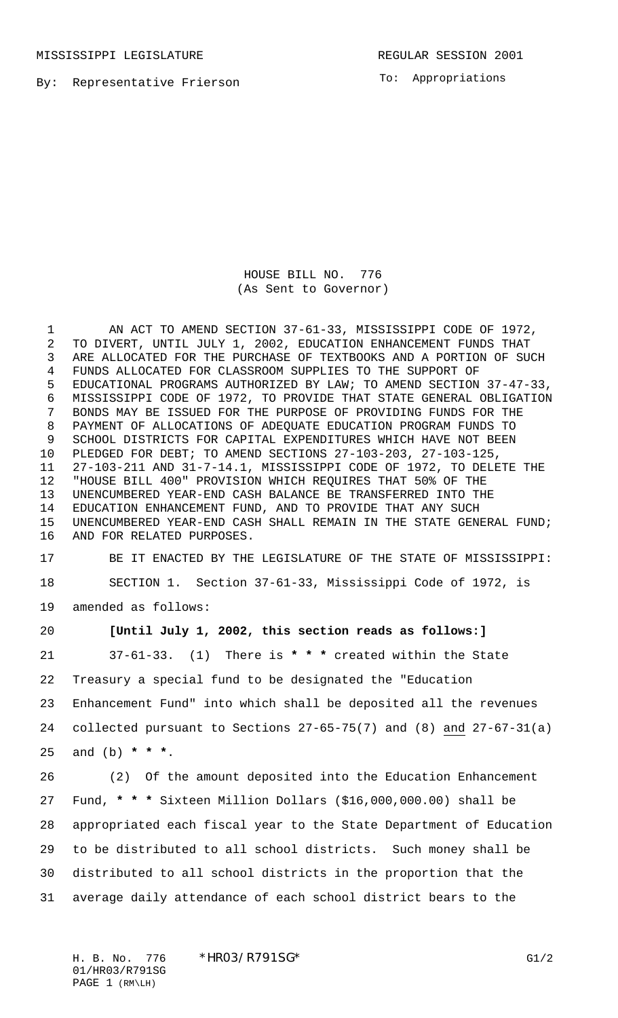MISSISSIPPI LEGISLATURE **REGULAR SESSION 2001** 

By: Representative Frierson

To: Appropriations

HOUSE BILL NO. 776 (As Sent to Governor)

 AN ACT TO AMEND SECTION 37-61-33, MISSISSIPPI CODE OF 1972, TO DIVERT, UNTIL JULY 1, 2002, EDUCATION ENHANCEMENT FUNDS THAT ARE ALLOCATED FOR THE PURCHASE OF TEXTBOOKS AND A PORTION OF SUCH FUNDS ALLOCATED FOR CLASSROOM SUPPLIES TO THE SUPPORT OF EDUCATIONAL PROGRAMS AUTHORIZED BY LAW; TO AMEND SECTION 37-47-33, MISSISSIPPI CODE OF 1972, TO PROVIDE THAT STATE GENERAL OBLIGATION BONDS MAY BE ISSUED FOR THE PURPOSE OF PROVIDING FUNDS FOR THE PAYMENT OF ALLOCATIONS OF ADEQUATE EDUCATION PROGRAM FUNDS TO SCHOOL DISTRICTS FOR CAPITAL EXPENDITURES WHICH HAVE NOT BEEN PLEDGED FOR DEBT; TO AMEND SECTIONS 27-103-203, 27-103-125, 27-103-211 AND 31-7-14.1, MISSISSIPPI CODE OF 1972, TO DELETE THE "HOUSE BILL 400" PROVISION WHICH REQUIRES THAT 50% OF THE UNENCUMBERED YEAR-END CASH BALANCE BE TRANSFERRED INTO THE EDUCATION ENHANCEMENT FUND, AND TO PROVIDE THAT ANY SUCH UNENCUMBERED YEAR-END CASH SHALL REMAIN IN THE STATE GENERAL FUND; AND FOR RELATED PURPOSES.

 BE IT ENACTED BY THE LEGISLATURE OF THE STATE OF MISSISSIPPI: SECTION 1. Section 37-61-33, Mississippi Code of 1972, is amended as follows:

## **[Until July 1, 2002, this section reads as follows:]**

 37-61-33. (1) There is **\* \* \*** created within the State Treasury a special fund to be designated the "Education Enhancement Fund" into which shall be deposited all the revenues collected pursuant to Sections 27-65-75(7) and (8) and 27-67-31(a) and (b) **\* \* \***.

 (2) Of the amount deposited into the Education Enhancement Fund, **\* \* \*** Sixteen Million Dollars (\$16,000,000.00) shall be appropriated each fiscal year to the State Department of Education to be distributed to all school districts. Such money shall be distributed to all school districts in the proportion that the average daily attendance of each school district bears to the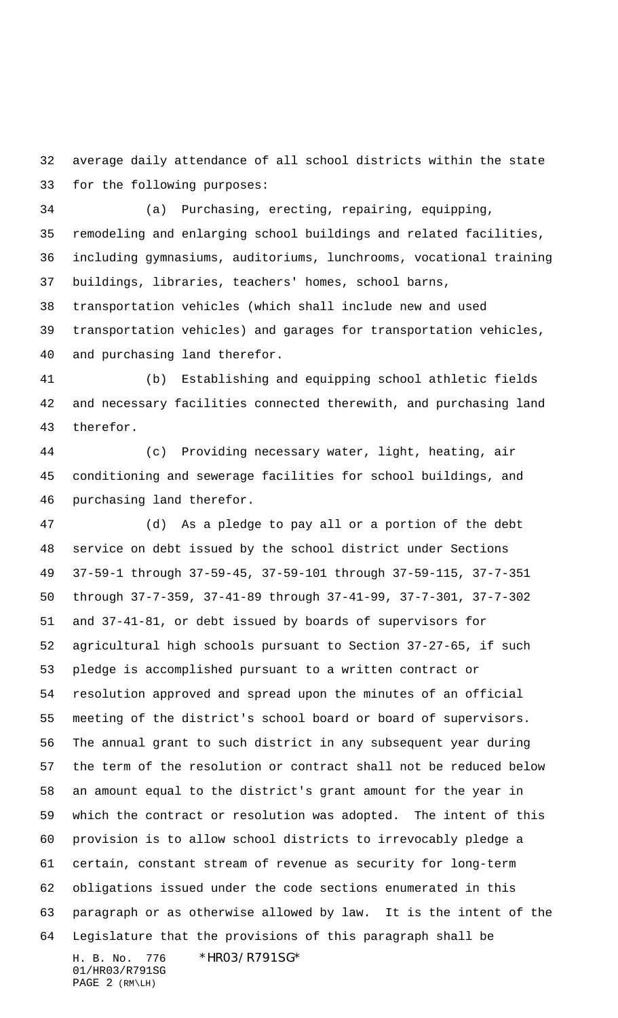average daily attendance of all school districts within the state for the following purposes:

 (a) Purchasing, erecting, repairing, equipping, remodeling and enlarging school buildings and related facilities, including gymnasiums, auditoriums, lunchrooms, vocational training buildings, libraries, teachers' homes, school barns,

 transportation vehicles (which shall include new and used transportation vehicles) and garages for transportation vehicles, and purchasing land therefor.

 (b) Establishing and equipping school athletic fields and necessary facilities connected therewith, and purchasing land therefor.

 (c) Providing necessary water, light, heating, air conditioning and sewerage facilities for school buildings, and purchasing land therefor.

H. B. No. 776 \*HR03/R791SG\* 01/HR03/R791SG (d) As a pledge to pay all or a portion of the debt service on debt issued by the school district under Sections 37-59-1 through 37-59-45, 37-59-101 through 37-59-115, 37-7-351 through 37-7-359, 37-41-89 through 37-41-99, 37-7-301, 37-7-302 and 37-41-81, or debt issued by boards of supervisors for agricultural high schools pursuant to Section 37-27-65, if such pledge is accomplished pursuant to a written contract or resolution approved and spread upon the minutes of an official meeting of the district's school board or board of supervisors. The annual grant to such district in any subsequent year during the term of the resolution or contract shall not be reduced below an amount equal to the district's grant amount for the year in which the contract or resolution was adopted. The intent of this provision is to allow school districts to irrevocably pledge a certain, constant stream of revenue as security for long-term obligations issued under the code sections enumerated in this paragraph or as otherwise allowed by law. It is the intent of the Legislature that the provisions of this paragraph shall be

PAGE 2 (RM\LH)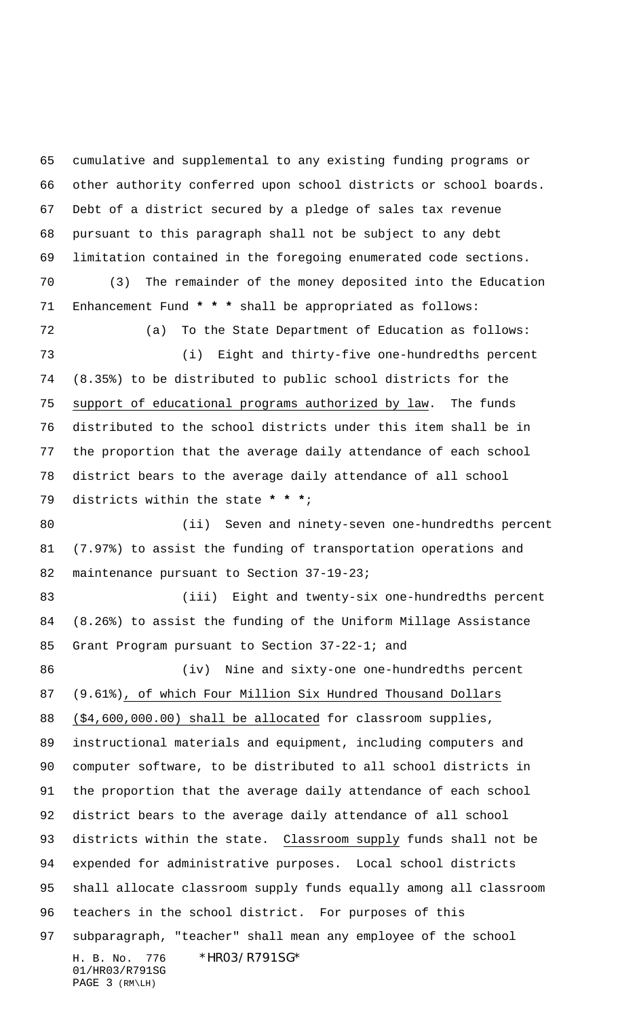H. B. No. 776 \*HR03/R791SG\* 01/HR03/R791SG cumulative and supplemental to any existing funding programs or other authority conferred upon school districts or school boards. Debt of a district secured by a pledge of sales tax revenue pursuant to this paragraph shall not be subject to any debt limitation contained in the foregoing enumerated code sections. (3) The remainder of the money deposited into the Education Enhancement Fund **\* \* \*** shall be appropriated as follows: (a) To the State Department of Education as follows: (i) Eight and thirty-five one-hundredths percent (8.35%) to be distributed to public school districts for the 75 support of educational programs authorized by law. The funds distributed to the school districts under this item shall be in the proportion that the average daily attendance of each school district bears to the average daily attendance of all school districts within the state **\* \* \***; (ii) Seven and ninety-seven one-hundredths percent (7.97%) to assist the funding of transportation operations and 82 maintenance pursuant to Section 37-19-23; (iii) Eight and twenty-six one-hundredths percent (8.26%) to assist the funding of the Uniform Millage Assistance Grant Program pursuant to Section 37-22-1; and (iv) Nine and sixty-one one-hundredths percent (9.61%), of which Four Million Six Hundred Thousand Dollars (\$4,600,000.00) shall be allocated for classroom supplies, instructional materials and equipment, including computers and computer software, to be distributed to all school districts in the proportion that the average daily attendance of each school district bears to the average daily attendance of all school districts within the state. Classroom supply funds shall not be expended for administrative purposes. Local school districts shall allocate classroom supply funds equally among all classroom teachers in the school district. For purposes of this subparagraph, "teacher" shall mean any employee of the school

PAGE 3 (RM\LH)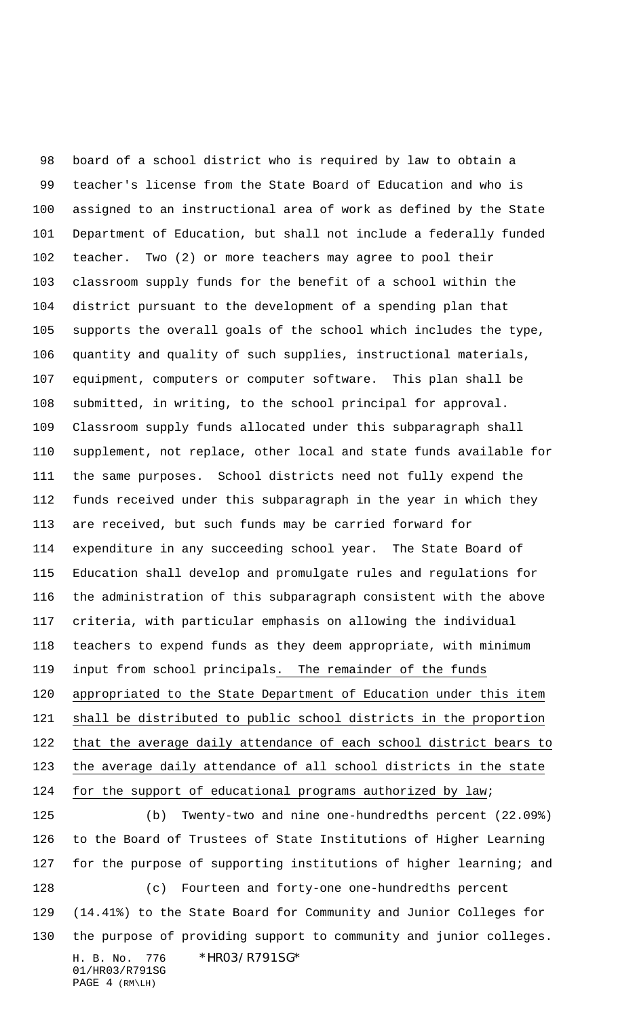board of a school district who is required by law to obtain a teacher's license from the State Board of Education and who is assigned to an instructional area of work as defined by the State Department of Education, but shall not include a federally funded teacher. Two (2) or more teachers may agree to pool their classroom supply funds for the benefit of a school within the district pursuant to the development of a spending plan that supports the overall goals of the school which includes the type, quantity and quality of such supplies, instructional materials, equipment, computers or computer software. This plan shall be submitted, in writing, to the school principal for approval. Classroom supply funds allocated under this subparagraph shall supplement, not replace, other local and state funds available for the same purposes. School districts need not fully expend the funds received under this subparagraph in the year in which they are received, but such funds may be carried forward for expenditure in any succeeding school year. The State Board of Education shall develop and promulgate rules and regulations for the administration of this subparagraph consistent with the above criteria, with particular emphasis on allowing the individual teachers to expend funds as they deem appropriate, with minimum input from school principals. The remainder of the funds appropriated to the State Department of Education under this item shall be distributed to public school districts in the proportion that the average daily attendance of each school district bears to the average daily attendance of all school districts in the state 124 for the support of educational programs authorized by law;

 (b) Twenty-two and nine one-hundredths percent (22.09%) to the Board of Trustees of State Institutions of Higher Learning for the purpose of supporting institutions of higher learning; and (c) Fourteen and forty-one one-hundredths percent (14.41%) to the State Board for Community and Junior Colleges for

the purpose of providing support to community and junior colleges.

H. B. No. 776 \*HR03/R791SG\* 01/HR03/R791SG PAGE 4 (RM\LH)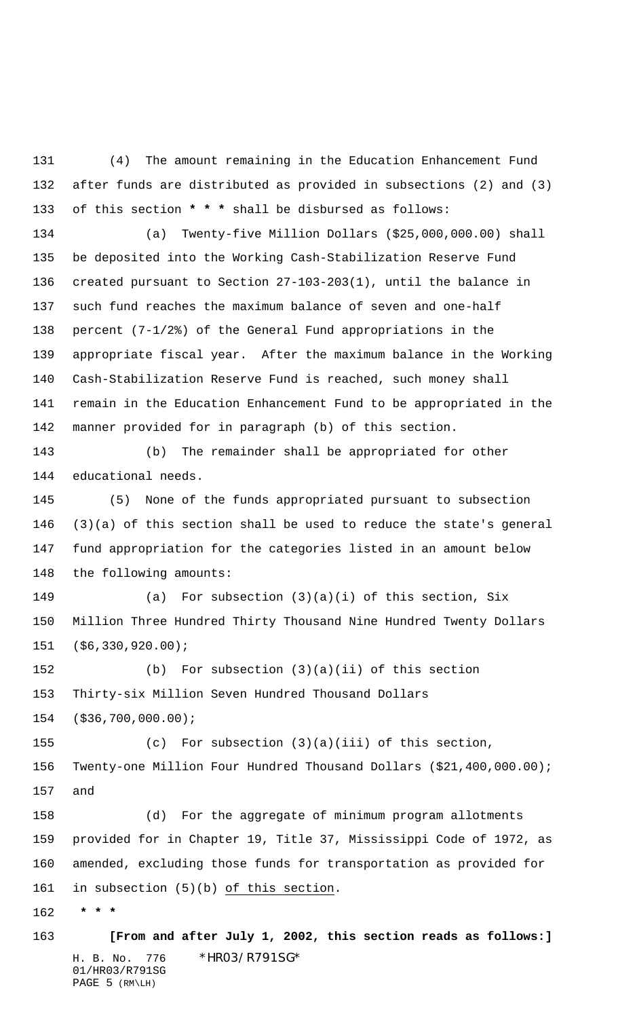(4) The amount remaining in the Education Enhancement Fund after funds are distributed as provided in subsections (2) and (3) of this section **\* \* \*** shall be disbursed as follows:

 (a) Twenty-five Million Dollars (\$25,000,000.00) shall be deposited into the Working Cash-Stabilization Reserve Fund created pursuant to Section 27-103-203(1), until the balance in such fund reaches the maximum balance of seven and one-half percent (7-1/2%) of the General Fund appropriations in the appropriate fiscal year. After the maximum balance in the Working Cash-Stabilization Reserve Fund is reached, such money shall remain in the Education Enhancement Fund to be appropriated in the manner provided for in paragraph (b) of this section.

 (b) The remainder shall be appropriated for other educational needs.

 (5) None of the funds appropriated pursuant to subsection (3)(a) of this section shall be used to reduce the state's general fund appropriation for the categories listed in an amount below the following amounts:

 (a) For subsection (3)(a)(i) of this section, Six Million Three Hundred Thirty Thousand Nine Hundred Twenty Dollars (\$6,330,920.00);

 (b) For subsection (3)(a)(ii) of this section Thirty-six Million Seven Hundred Thousand Dollars

(\$36,700,000.00);

 (c) For subsection (3)(a)(iii) of this section, Twenty-one Million Four Hundred Thousand Dollars (\$21,400,000.00); and

 (d) For the aggregate of minimum program allotments provided for in Chapter 19, Title 37, Mississippi Code of 1972, as amended, excluding those funds for transportation as provided for in subsection (5)(b) of this section.

 **\* \* \***

H. B. No. 776 \*HR03/R791SG\* 01/HR03/R791SG PAGE 5 (RM\LH) **[From and after July 1, 2002, this section reads as follows:]**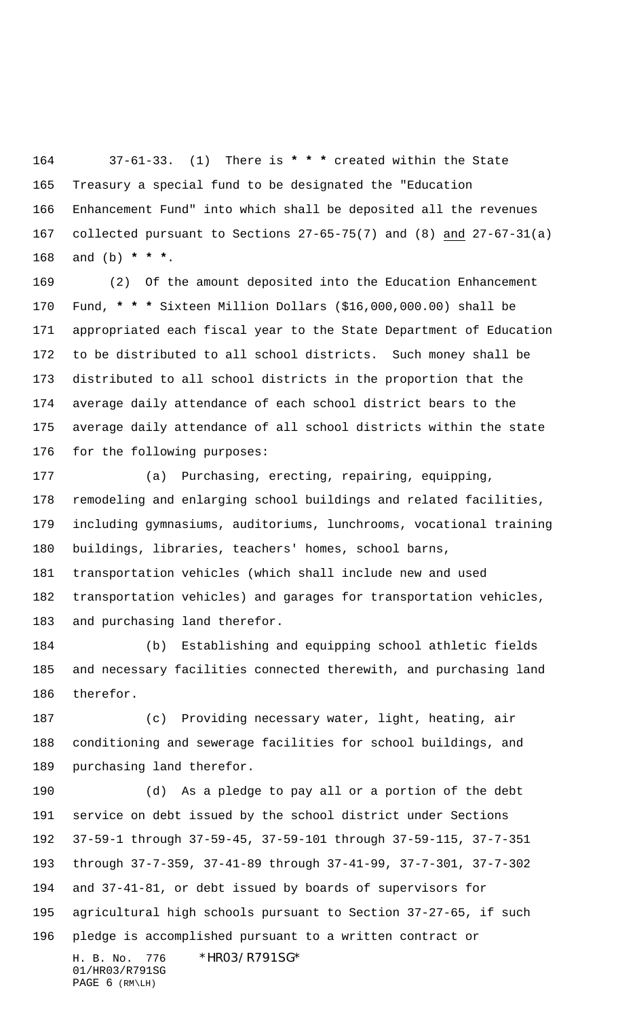37-61-33. (1) There is **\* \* \*** created within the State Treasury a special fund to be designated the "Education Enhancement Fund" into which shall be deposited all the revenues collected pursuant to Sections 27-65-75(7) and (8) and 27-67-31(a) and (b) **\* \* \***.

 (2) Of the amount deposited into the Education Enhancement Fund, **\* \* \*** Sixteen Million Dollars (\$16,000,000.00) shall be appropriated each fiscal year to the State Department of Education to be distributed to all school districts. Such money shall be distributed to all school districts in the proportion that the average daily attendance of each school district bears to the average daily attendance of all school districts within the state for the following purposes:

 (a) Purchasing, erecting, repairing, equipping, remodeling and enlarging school buildings and related facilities, including gymnasiums, auditoriums, lunchrooms, vocational training buildings, libraries, teachers' homes, school barns, transportation vehicles (which shall include new and used transportation vehicles) and garages for transportation vehicles, and purchasing land therefor.

 (b) Establishing and equipping school athletic fields and necessary facilities connected therewith, and purchasing land therefor.

 (c) Providing necessary water, light, heating, air conditioning and sewerage facilities for school buildings, and purchasing land therefor.

H. B. No. 776 \*HR03/R791SG\* (d) As a pledge to pay all or a portion of the debt service on debt issued by the school district under Sections 37-59-1 through 37-59-45, 37-59-101 through 37-59-115, 37-7-351 through 37-7-359, 37-41-89 through 37-41-99, 37-7-301, 37-7-302 and 37-41-81, or debt issued by boards of supervisors for agricultural high schools pursuant to Section 37-27-65, if such pledge is accomplished pursuant to a written contract or

01/HR03/R791SG PAGE 6 (RM\LH)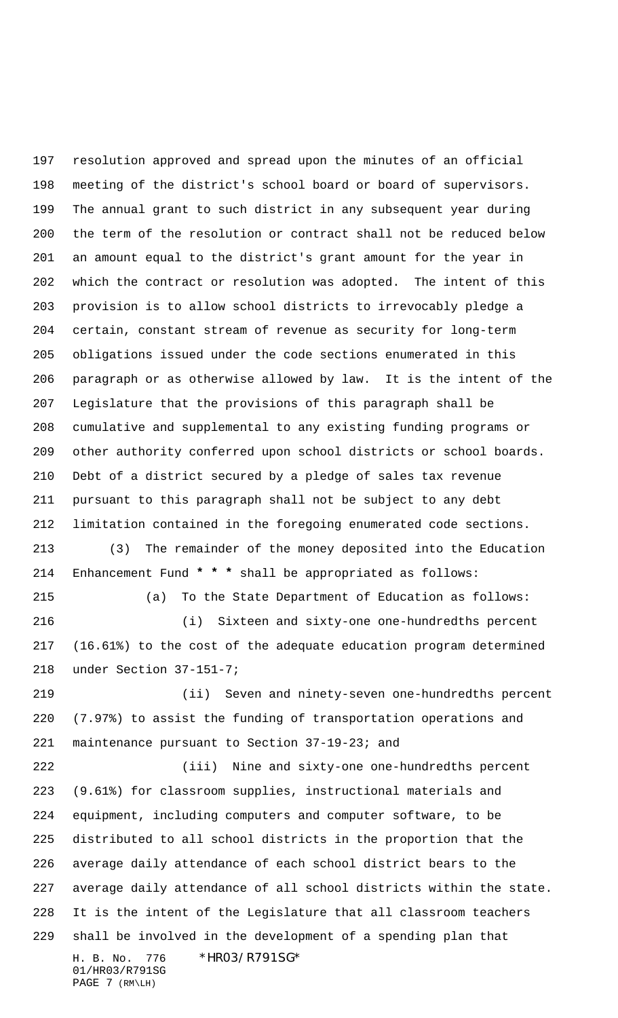H. B. No. 776 \*HR03/R791SG\* 01/HR03/R791SG resolution approved and spread upon the minutes of an official meeting of the district's school board or board of supervisors. The annual grant to such district in any subsequent year during the term of the resolution or contract shall not be reduced below an amount equal to the district's grant amount for the year in which the contract or resolution was adopted. The intent of this provision is to allow school districts to irrevocably pledge a certain, constant stream of revenue as security for long-term obligations issued under the code sections enumerated in this paragraph or as otherwise allowed by law. It is the intent of the Legislature that the provisions of this paragraph shall be cumulative and supplemental to any existing funding programs or other authority conferred upon school districts or school boards. Debt of a district secured by a pledge of sales tax revenue pursuant to this paragraph shall not be subject to any debt limitation contained in the foregoing enumerated code sections. (3) The remainder of the money deposited into the Education Enhancement Fund **\* \* \*** shall be appropriated as follows: (a) To the State Department of Education as follows: (i) Sixteen and sixty-one one-hundredths percent (16.61%) to the cost of the adequate education program determined under Section 37-151-7; (ii) Seven and ninety-seven one-hundredths percent (7.97%) to assist the funding of transportation operations and maintenance pursuant to Section 37-19-23; and (iii) Nine and sixty-one one-hundredths percent (9.61%) for classroom supplies, instructional materials and equipment, including computers and computer software, to be distributed to all school districts in the proportion that the average daily attendance of each school district bears to the average daily attendance of all school districts within the state. It is the intent of the Legislature that all classroom teachers shall be involved in the development of a spending plan that

PAGE 7 (RM\LH)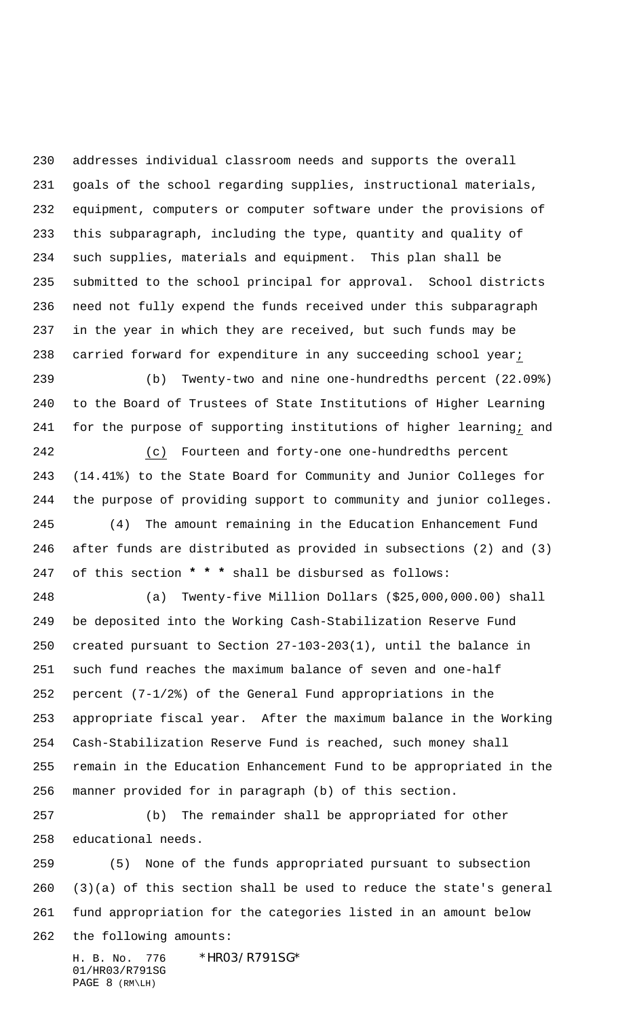addresses individual classroom needs and supports the overall goals of the school regarding supplies, instructional materials, equipment, computers or computer software under the provisions of this subparagraph, including the type, quantity and quality of such supplies, materials and equipment. This plan shall be submitted to the school principal for approval. School districts need not fully expend the funds received under this subparagraph in the year in which they are received, but such funds may be carried forward for expenditure in any succeeding school year;

 (b) Twenty-two and nine one-hundredths percent (22.09%) to the Board of Trustees of State Institutions of Higher Learning for the purpose of supporting institutions of higher learning; and

 (c) Fourteen and forty-one one-hundredths percent (14.41%) to the State Board for Community and Junior Colleges for the purpose of providing support to community and junior colleges. (4) The amount remaining in the Education Enhancement Fund after funds are distributed as provided in subsections (2) and (3) of this section **\* \* \*** shall be disbursed as follows:

 (a) Twenty-five Million Dollars (\$25,000,000.00) shall be deposited into the Working Cash-Stabilization Reserve Fund created pursuant to Section 27-103-203(1), until the balance in such fund reaches the maximum balance of seven and one-half percent (7-1/2%) of the General Fund appropriations in the appropriate fiscal year. After the maximum balance in the Working Cash-Stabilization Reserve Fund is reached, such money shall remain in the Education Enhancement Fund to be appropriated in the manner provided for in paragraph (b) of this section.

 (b) The remainder shall be appropriated for other educational needs.

 (5) None of the funds appropriated pursuant to subsection (3)(a) of this section shall be used to reduce the state's general fund appropriation for the categories listed in an amount below the following amounts:

H. B. No. 776 \*HR03/R791SG\* 01/HR03/R791SG PAGE 8 (RM\LH)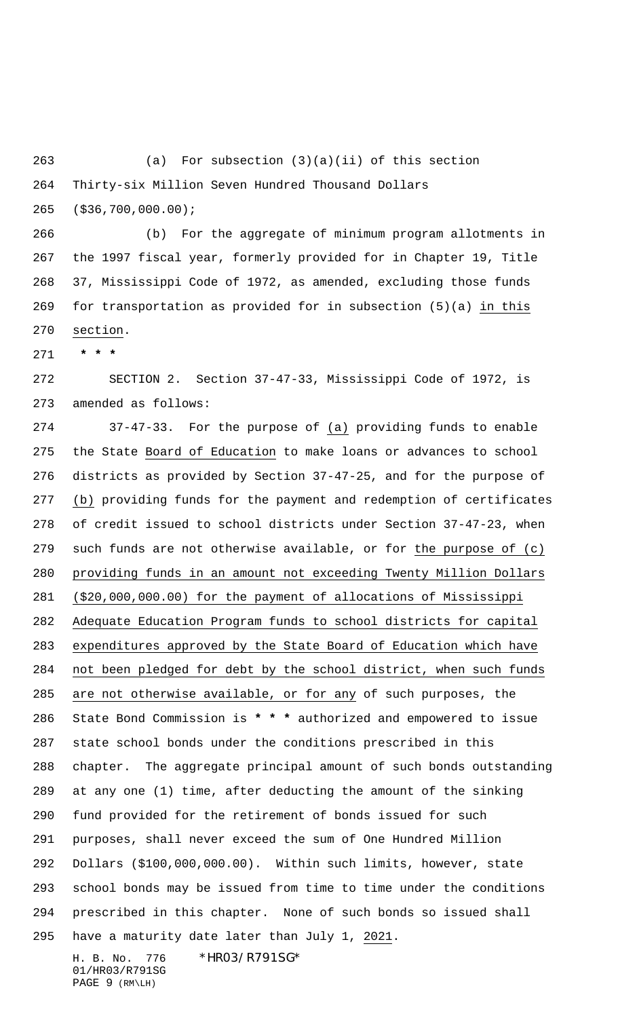(a) For subsection (3)(a)(ii) of this section Thirty-six Million Seven Hundred Thousand Dollars

(\$36,700,000.00);

 (b) For the aggregate of minimum program allotments in the 1997 fiscal year, formerly provided for in Chapter 19, Title 37, Mississippi Code of 1972, as amended, excluding those funds for transportation as provided for in subsection (5)(a) in this section.

 **\* \* \***

 SECTION 2. Section 37-47-33, Mississippi Code of 1972, is amended as follows:

 37-47-33. For the purpose of (a) providing funds to enable 275 the State Board of Education to make loans or advances to school districts as provided by Section 37-47-25, and for the purpose of (b) providing funds for the payment and redemption of certificates of credit issued to school districts under Section 37-47-23, when such funds are not otherwise available, or for the purpose of (c) providing funds in an amount not exceeding Twenty Million Dollars (\$20,000,000.00) for the payment of allocations of Mississippi Adequate Education Program funds to school districts for capital expenditures approved by the State Board of Education which have not been pledged for debt by the school district, when such funds are not otherwise available, or for any of such purposes, the State Bond Commission is **\* \* \*** authorized and empowered to issue state school bonds under the conditions prescribed in this chapter. The aggregate principal amount of such bonds outstanding at any one (1) time, after deducting the amount of the sinking fund provided for the retirement of bonds issued for such purposes, shall never exceed the sum of One Hundred Million Dollars (\$100,000,000.00). Within such limits, however, state school bonds may be issued from time to time under the conditions prescribed in this chapter. None of such bonds so issued shall have a maturity date later than July 1, 2021.

H. B. No. 776 \*HR03/R791SG\* 01/HR03/R791SG PAGE 9 (RM\LH)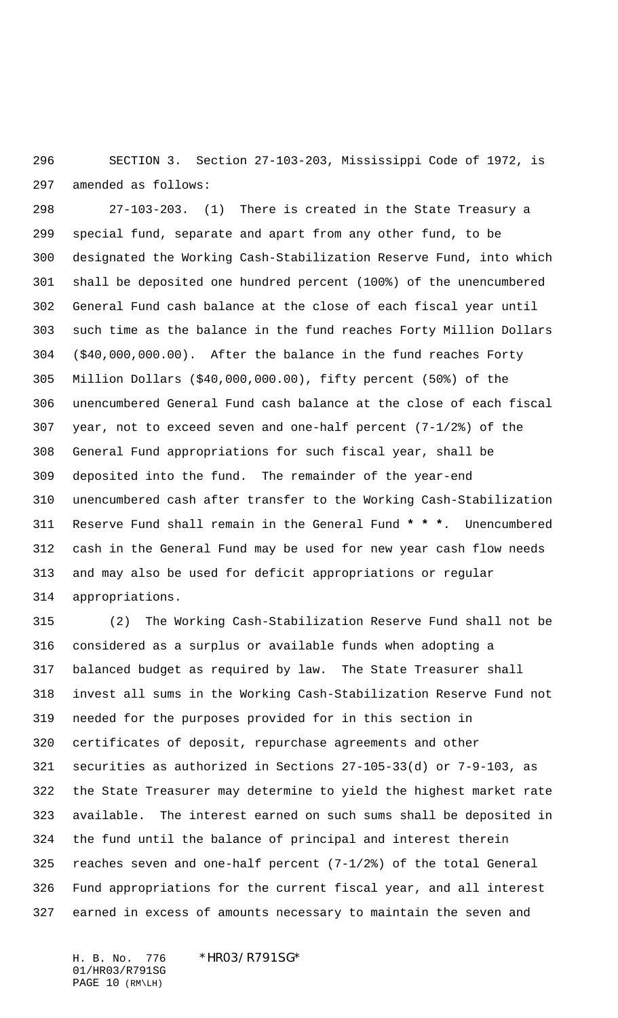SECTION 3. Section 27-103-203, Mississippi Code of 1972, is amended as follows:

 27-103-203. (1) There is created in the State Treasury a special fund, separate and apart from any other fund, to be designated the Working Cash-Stabilization Reserve Fund, into which shall be deposited one hundred percent (100%) of the unencumbered General Fund cash balance at the close of each fiscal year until such time as the balance in the fund reaches Forty Million Dollars (\$40,000,000.00). After the balance in the fund reaches Forty Million Dollars (\$40,000,000.00), fifty percent (50%) of the unencumbered General Fund cash balance at the close of each fiscal year, not to exceed seven and one-half percent (7-1/2%) of the General Fund appropriations for such fiscal year, shall be deposited into the fund. The remainder of the year-end unencumbered cash after transfer to the Working Cash-Stabilization Reserve Fund shall remain in the General Fund **\* \* \***. Unencumbered cash in the General Fund may be used for new year cash flow needs and may also be used for deficit appropriations or regular appropriations.

 (2) The Working Cash-Stabilization Reserve Fund shall not be considered as a surplus or available funds when adopting a balanced budget as required by law. The State Treasurer shall invest all sums in the Working Cash-Stabilization Reserve Fund not needed for the purposes provided for in this section in certificates of deposit, repurchase agreements and other securities as authorized in Sections 27-105-33(d) or 7-9-103, as the State Treasurer may determine to yield the highest market rate available. The interest earned on such sums shall be deposited in the fund until the balance of principal and interest therein reaches seven and one-half percent (7-1/2%) of the total General Fund appropriations for the current fiscal year, and all interest earned in excess of amounts necessary to maintain the seven and

01/HR03/R791SG PAGE 10 (RM\LH)

H. B. No. 776 \*HR03/R791SG\*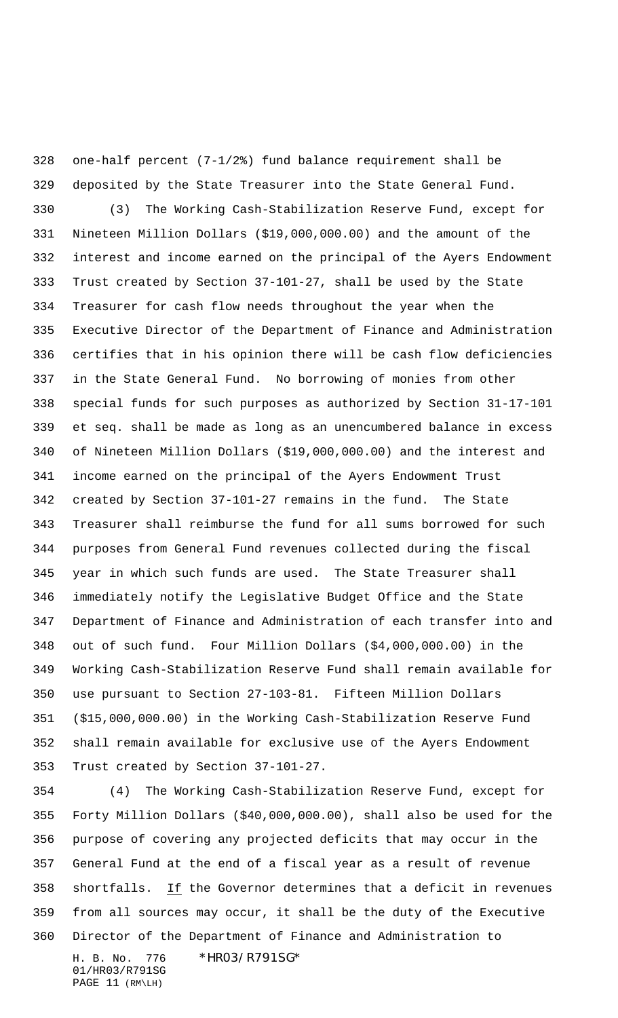one-half percent (7-1/2%) fund balance requirement shall be deposited by the State Treasurer into the State General Fund.

 (3) The Working Cash-Stabilization Reserve Fund, except for Nineteen Million Dollars (\$19,000,000.00) and the amount of the interest and income earned on the principal of the Ayers Endowment Trust created by Section 37-101-27, shall be used by the State Treasurer for cash flow needs throughout the year when the Executive Director of the Department of Finance and Administration certifies that in his opinion there will be cash flow deficiencies in the State General Fund. No borrowing of monies from other special funds for such purposes as authorized by Section 31-17-101 et seq. shall be made as long as an unencumbered balance in excess of Nineteen Million Dollars (\$19,000,000.00) and the interest and income earned on the principal of the Ayers Endowment Trust created by Section 37-101-27 remains in the fund. The State Treasurer shall reimburse the fund for all sums borrowed for such purposes from General Fund revenues collected during the fiscal year in which such funds are used. The State Treasurer shall immediately notify the Legislative Budget Office and the State Department of Finance and Administration of each transfer into and out of such fund. Four Million Dollars (\$4,000,000.00) in the Working Cash-Stabilization Reserve Fund shall remain available for use pursuant to Section 27-103-81. Fifteen Million Dollars (\$15,000,000.00) in the Working Cash-Stabilization Reserve Fund shall remain available for exclusive use of the Ayers Endowment Trust created by Section 37-101-27.

H. B. No. 776 \*HR03/R791SG\* 01/HR03/R791SG PAGE 11 (RM\LH) (4) The Working Cash-Stabilization Reserve Fund, except for Forty Million Dollars (\$40,000,000.00), shall also be used for the purpose of covering any projected deficits that may occur in the General Fund at the end of a fiscal year as a result of revenue shortfalls. If the Governor determines that a deficit in revenues from all sources may occur, it shall be the duty of the Executive Director of the Department of Finance and Administration to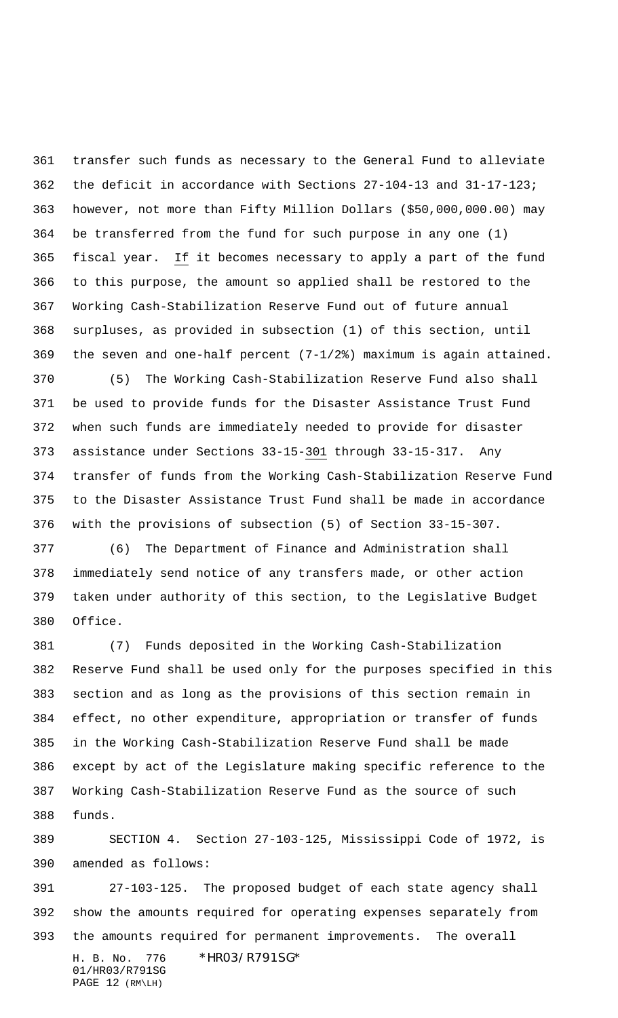transfer such funds as necessary to the General Fund to alleviate the deficit in accordance with Sections 27-104-13 and 31-17-123; however, not more than Fifty Million Dollars (\$50,000,000.00) may be transferred from the fund for such purpose in any one (1) fiscal year. If it becomes necessary to apply a part of the fund to this purpose, the amount so applied shall be restored to the Working Cash-Stabilization Reserve Fund out of future annual surpluses, as provided in subsection (1) of this section, until the seven and one-half percent (7-1/2%) maximum is again attained.

 (5) The Working Cash-Stabilization Reserve Fund also shall be used to provide funds for the Disaster Assistance Trust Fund when such funds are immediately needed to provide for disaster assistance under Sections 33-15-301 through 33-15-317. Any transfer of funds from the Working Cash-Stabilization Reserve Fund to the Disaster Assistance Trust Fund shall be made in accordance with the provisions of subsection (5) of Section 33-15-307.

 (6) The Department of Finance and Administration shall immediately send notice of any transfers made, or other action taken under authority of this section, to the Legislative Budget Office.

 (7) Funds deposited in the Working Cash-Stabilization Reserve Fund shall be used only for the purposes specified in this section and as long as the provisions of this section remain in effect, no other expenditure, appropriation or transfer of funds in the Working Cash-Stabilization Reserve Fund shall be made except by act of the Legislature making specific reference to the Working Cash-Stabilization Reserve Fund as the source of such funds.

 SECTION 4. Section 27-103-125, Mississippi Code of 1972, is amended as follows:

H. B. No. 776 \*HR03/R791SG\* 27-103-125. The proposed budget of each state agency shall show the amounts required for operating expenses separately from the amounts required for permanent improvements. The overall

01/HR03/R791SG PAGE 12 (RM\LH)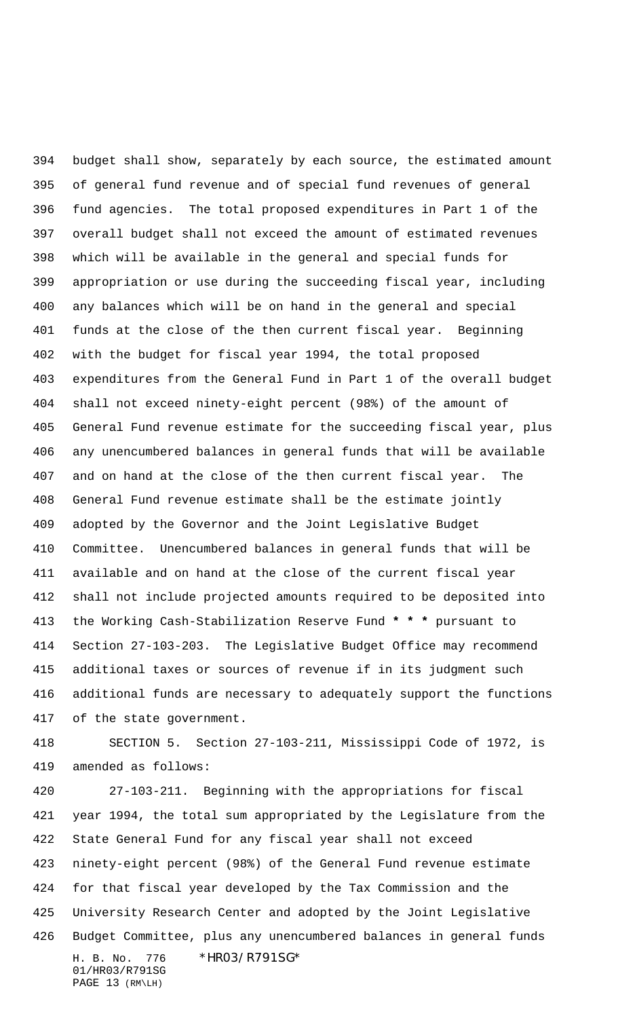budget shall show, separately by each source, the estimated amount of general fund revenue and of special fund revenues of general fund agencies. The total proposed expenditures in Part 1 of the overall budget shall not exceed the amount of estimated revenues which will be available in the general and special funds for appropriation or use during the succeeding fiscal year, including any balances which will be on hand in the general and special funds at the close of the then current fiscal year. Beginning with the budget for fiscal year 1994, the total proposed expenditures from the General Fund in Part 1 of the overall budget shall not exceed ninety-eight percent (98%) of the amount of General Fund revenue estimate for the succeeding fiscal year, plus any unencumbered balances in general funds that will be available and on hand at the close of the then current fiscal year. The General Fund revenue estimate shall be the estimate jointly adopted by the Governor and the Joint Legislative Budget Committee. Unencumbered balances in general funds that will be available and on hand at the close of the current fiscal year shall not include projected amounts required to be deposited into the Working Cash-Stabilization Reserve Fund **\* \* \*** pursuant to Section 27-103-203. The Legislative Budget Office may recommend additional taxes or sources of revenue if in its judgment such additional funds are necessary to adequately support the functions of the state government.

 SECTION 5. Section 27-103-211, Mississippi Code of 1972, is amended as follows:

H. B. No. 776 \*HR03/R791SG\* 27-103-211. Beginning with the appropriations for fiscal year 1994, the total sum appropriated by the Legislature from the State General Fund for any fiscal year shall not exceed ninety-eight percent (98%) of the General Fund revenue estimate for that fiscal year developed by the Tax Commission and the University Research Center and adopted by the Joint Legislative Budget Committee, plus any unencumbered balances in general funds

01/HR03/R791SG PAGE 13 (RM\LH)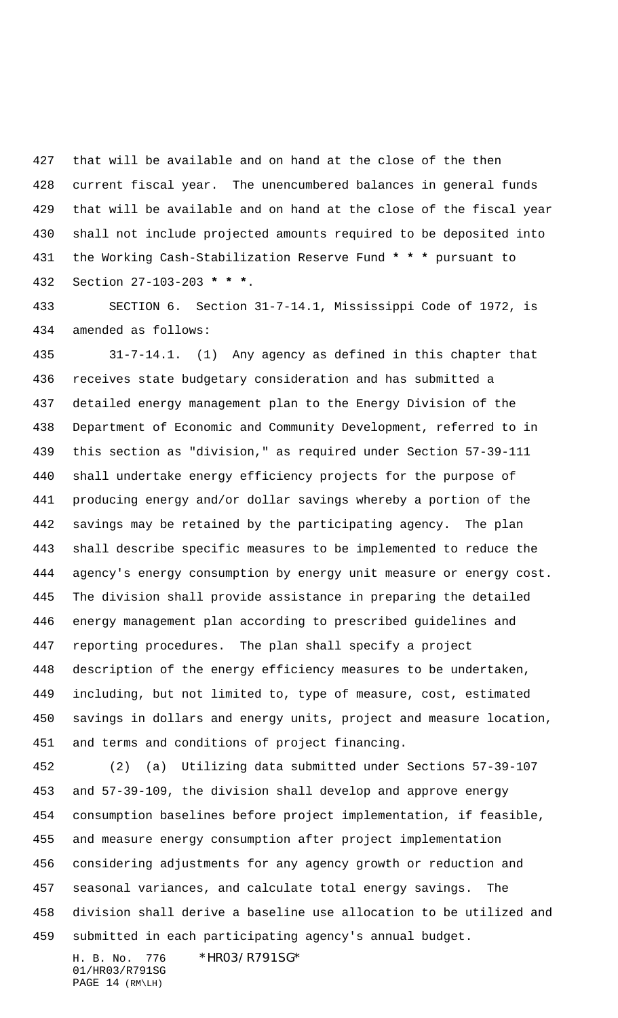that will be available and on hand at the close of the then current fiscal year. The unencumbered balances in general funds that will be available and on hand at the close of the fiscal year shall not include projected amounts required to be deposited into the Working Cash-Stabilization Reserve Fund **\* \* \*** pursuant to Section 27-103-203 **\* \* \***.

 SECTION 6. Section 31-7-14.1, Mississippi Code of 1972, is amended as follows:

 31-7-14.1. (1) Any agency as defined in this chapter that receives state budgetary consideration and has submitted a detailed energy management plan to the Energy Division of the Department of Economic and Community Development, referred to in this section as "division," as required under Section 57-39-111 shall undertake energy efficiency projects for the purpose of producing energy and/or dollar savings whereby a portion of the savings may be retained by the participating agency. The plan shall describe specific measures to be implemented to reduce the agency's energy consumption by energy unit measure or energy cost. The division shall provide assistance in preparing the detailed energy management plan according to prescribed guidelines and reporting procedures. The plan shall specify a project description of the energy efficiency measures to be undertaken, including, but not limited to, type of measure, cost, estimated savings in dollars and energy units, project and measure location, and terms and conditions of project financing.

 (2) (a) Utilizing data submitted under Sections 57-39-107 and 57-39-109, the division shall develop and approve energy consumption baselines before project implementation, if feasible, and measure energy consumption after project implementation considering adjustments for any agency growth or reduction and seasonal variances, and calculate total energy savings. The division shall derive a baseline use allocation to be utilized and submitted in each participating agency's annual budget.

01/HR03/R791SG PAGE 14 (RM\LH)

H. B. No. 776 \*HR03/R791SG\*